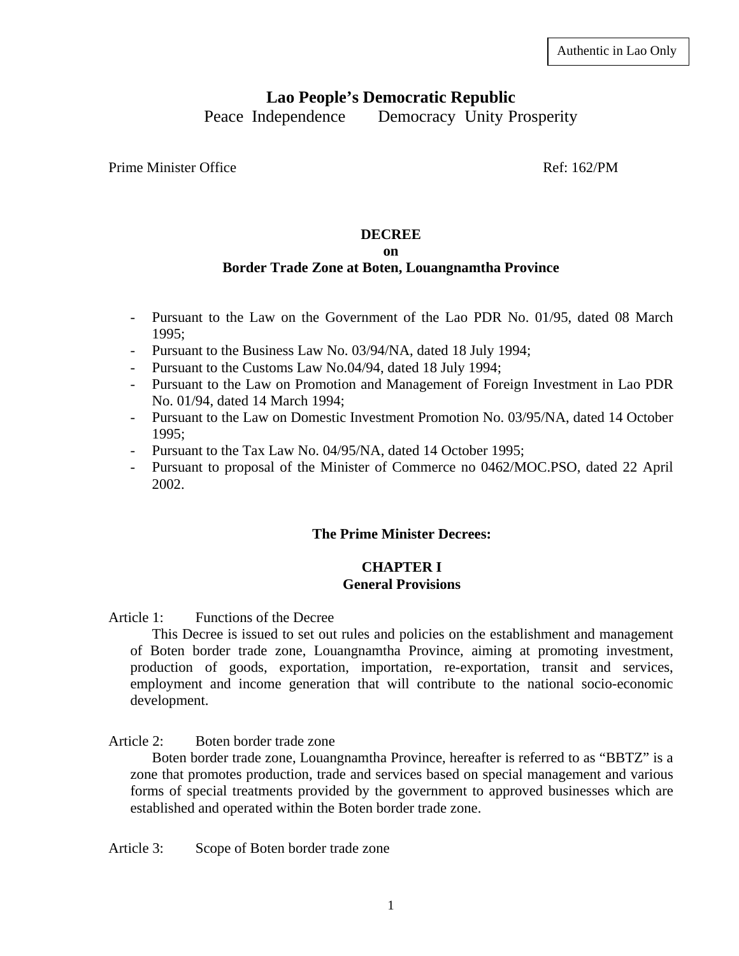# **Lao People's Democratic Republic**

Peace Independence Democracy Unity Prosperity

Prime Minister Office **Ref:** 162/PM

# **DECREE**

# **on**

# **Border Trade Zone at Boten, Louangnamtha Province**

- Pursuant to the Law on the Government of the Lao PDR No. 01/95, dated 08 March 1995;
- Pursuant to the Business Law No. 03/94/NA, dated 18 July 1994;
- Pursuant to the Customs Law No.04/94, dated 18 July 1994;
- Pursuant to the Law on Promotion and Management of Foreign Investment in Lao PDR No. 01/94, dated 14 March 1994;
- Pursuant to the Law on Domestic Investment Promotion No. 03/95/NA, dated 14 October 1995;
- Pursuant to the Tax Law No. 04/95/NA, dated 14 October 1995;
- Pursuant to proposal of the Minister of Commerce no 0462/MOC.PSO, dated 22 April 2002.

# **The Prime Minister Decrees:**

# **CHAPTER I General Provisions**

Article 1: Functions of the Decree

 This Decree is issued to set out rules and policies on the establishment and management of Boten border trade zone, Louangnamtha Province, aiming at promoting investment, production of goods, exportation, importation, re-exportation, transit and services, employment and income generation that will contribute to the national socio-economic development.

Article 2: Boten border trade zone

 Boten border trade zone, Louangnamtha Province, hereafter is referred to as "BBTZ" is a zone that promotes production, trade and services based on special management and various forms of special treatments provided by the government to approved businesses which are established and operated within the Boten border trade zone.

Article 3: Scope of Boten border trade zone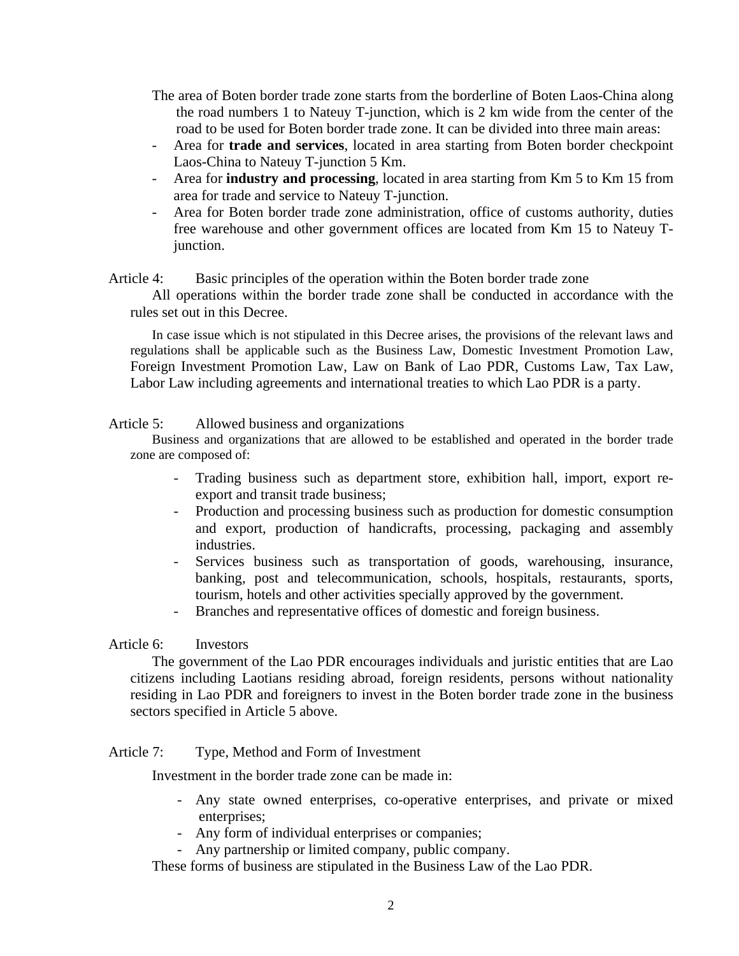The area of Boten border trade zone starts from the borderline of Boten Laos-China along the road numbers 1 to Nateuy T-junction, which is 2 km wide from the center of the road to be used for Boten border trade zone. It can be divided into three main areas:

- Area for **trade and services**, located in area starting from Boten border checkpoint Laos-China to Nateuy T-junction 5 Km.
- Area for **industry and processing**, located in area starting from Km 5 to Km 15 from area for trade and service to Nateuy T-junction.
- Area for Boten border trade zone administration, office of customs authority, duties free warehouse and other government offices are located from Km 15 to Nateuy Tjunction.

# Article 4: Basic principles of the operation within the Boten border trade zone

 All operations within the border trade zone shall be conducted in accordance with the rules set out in this Decree.

 In case issue which is not stipulated in this Decree arises, the provisions of the relevant laws and regulations shall be applicable such as the Business Law, Domestic Investment Promotion Law, Foreign Investment Promotion Law, Law on Bank of Lao PDR, Customs Law, Tax Law, Labor Law including agreements and international treaties to which Lao PDR is a party.

Article 5: Allowed business and organizations

 Business and organizations that are allowed to be established and operated in the border trade zone are composed of:

- Trading business such as department store, exhibition hall, import, export reexport and transit trade business;
- Production and processing business such as production for domestic consumption and export, production of handicrafts, processing, packaging and assembly industries.
- Services business such as transportation of goods, warehousing, insurance, banking, post and telecommunication, schools, hospitals, restaurants, sports, tourism, hotels and other activities specially approved by the government.
- Branches and representative offices of domestic and foreign business.

# Article 6: Investors

 The government of the Lao PDR encourages individuals and juristic entities that are Lao citizens including Laotians residing abroad, foreign residents, persons without nationality residing in Lao PDR and foreigners to invest in the Boten border trade zone in the business sectors specified in Article 5 above.

Article 7: Type, Method and Form of Investment

Investment in the border trade zone can be made in:

- Any state owned enterprises, co-operative enterprises, and private or mixed enterprises;
- Any form of individual enterprises or companies;
- Any partnership or limited company, public company.

These forms of business are stipulated in the Business Law of the Lao PDR.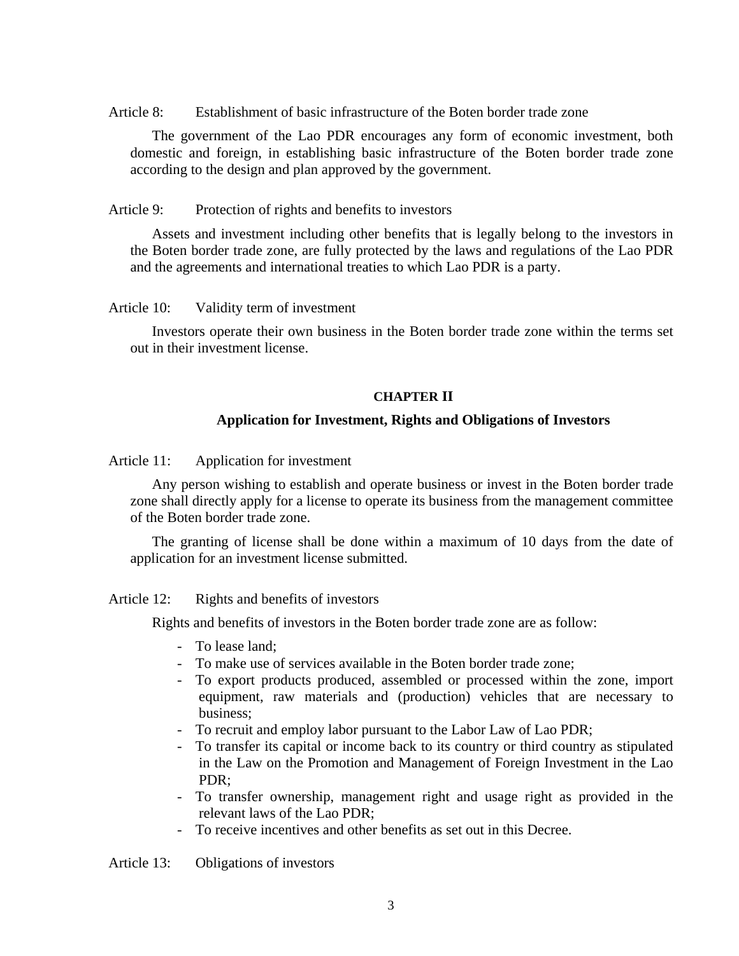Article 8: Establishment of basic infrastructure of the Boten border trade zone

 The government of the Lao PDR encourages any form of economic investment, both domestic and foreign, in establishing basic infrastructure of the Boten border trade zone according to the design and plan approved by the government.

### Article 9: Protection of rights and benefits to investors

 Assets and investment including other benefits that is legally belong to the investors in the Boten border trade zone, are fully protected by the laws and regulations of the Lao PDR and the agreements and international treaties to which Lao PDR is a party.

### Article 10: Validity term of investment

 Investors operate their own business in the Boten border trade zone within the terms set out in their investment license.

#### **CHAPTER II**

# **Application for Investment, Rights and Obligations of Investors**

Article 11: Application for investment

 Any person wishing to establish and operate business or invest in the Boten border trade zone shall directly apply for a license to operate its business from the management committee of the Boten border trade zone.

 The granting of license shall be done within a maximum of 10 days from the date of application for an investment license submitted.

Article 12: Rights and benefits of investors

Rights and benefits of investors in the Boten border trade zone are as follow:

- To lease land;
- To make use of services available in the Boten border trade zone;
- To export products produced, assembled or processed within the zone, import equipment, raw materials and (production) vehicles that are necessary to business;
- To recruit and employ labor pursuant to the Labor Law of Lao PDR;
- To transfer its capital or income back to its country or third country as stipulated in the Law on the Promotion and Management of Foreign Investment in the Lao PDR;
- To transfer ownership, management right and usage right as provided in the relevant laws of the Lao PDR;
- To receive incentives and other benefits as set out in this Decree.

Article 13: Obligations of investors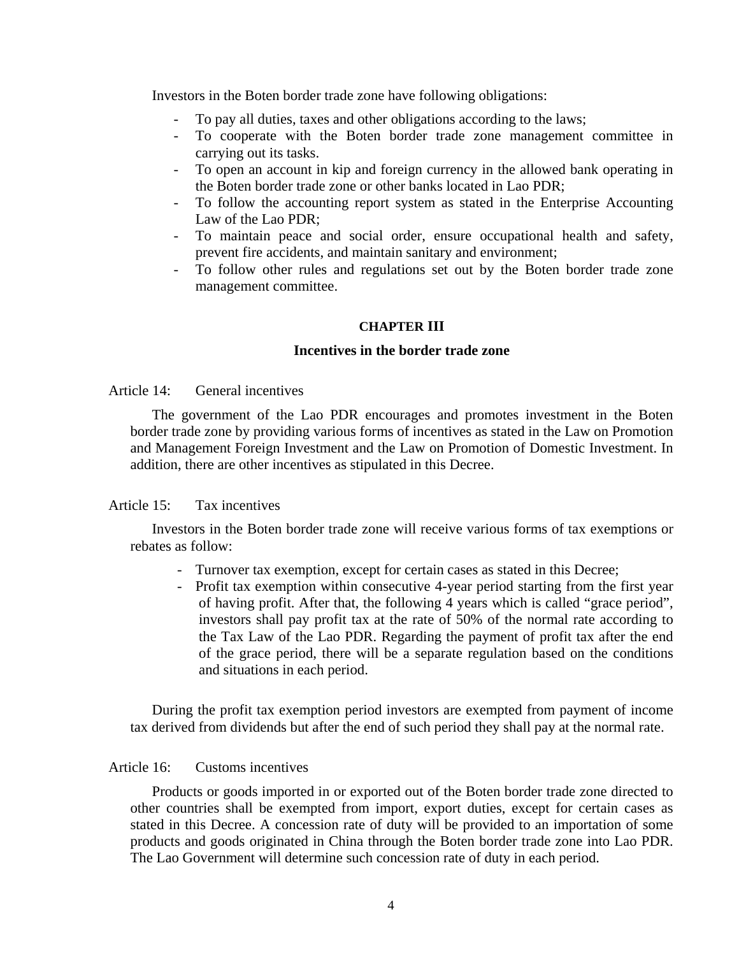Investors in the Boten border trade zone have following obligations:

- To pay all duties, taxes and other obligations according to the laws;
- To cooperate with the Boten border trade zone management committee in carrying out its tasks.
- To open an account in kip and foreign currency in the allowed bank operating in the Boten border trade zone or other banks located in Lao PDR;
- To follow the accounting report system as stated in the Enterprise Accounting Law of the Lao PDR;
- To maintain peace and social order, ensure occupational health and safety, prevent fire accidents, and maintain sanitary and environment;
- To follow other rules and regulations set out by the Boten border trade zone management committee.

### **CHAPTER III**

#### **Incentives in the border trade zone**

# Article 14: General incentives

 The government of the Lao PDR encourages and promotes investment in the Boten border trade zone by providing various forms of incentives as stated in the Law on Promotion and Management Foreign Investment and the Law on Promotion of Domestic Investment. In addition, there are other incentives as stipulated in this Decree.

# Article 15: Tax incentives

 Investors in the Boten border trade zone will receive various forms of tax exemptions or rebates as follow:

- Turnover tax exemption, except for certain cases as stated in this Decree;
- Profit tax exemption within consecutive 4-year period starting from the first year of having profit. After that, the following 4 years which is called "grace period", investors shall pay profit tax at the rate of 50% of the normal rate according to the Tax Law of the Lao PDR. Regarding the payment of profit tax after the end of the grace period, there will be a separate regulation based on the conditions and situations in each period.

 During the profit tax exemption period investors are exempted from payment of income tax derived from dividends but after the end of such period they shall pay at the normal rate.

### Article 16: Customs incentives

 Products or goods imported in or exported out of the Boten border trade zone directed to other countries shall be exempted from import, export duties, except for certain cases as stated in this Decree. A concession rate of duty will be provided to an importation of some products and goods originated in China through the Boten border trade zone into Lao PDR. The Lao Government will determine such concession rate of duty in each period.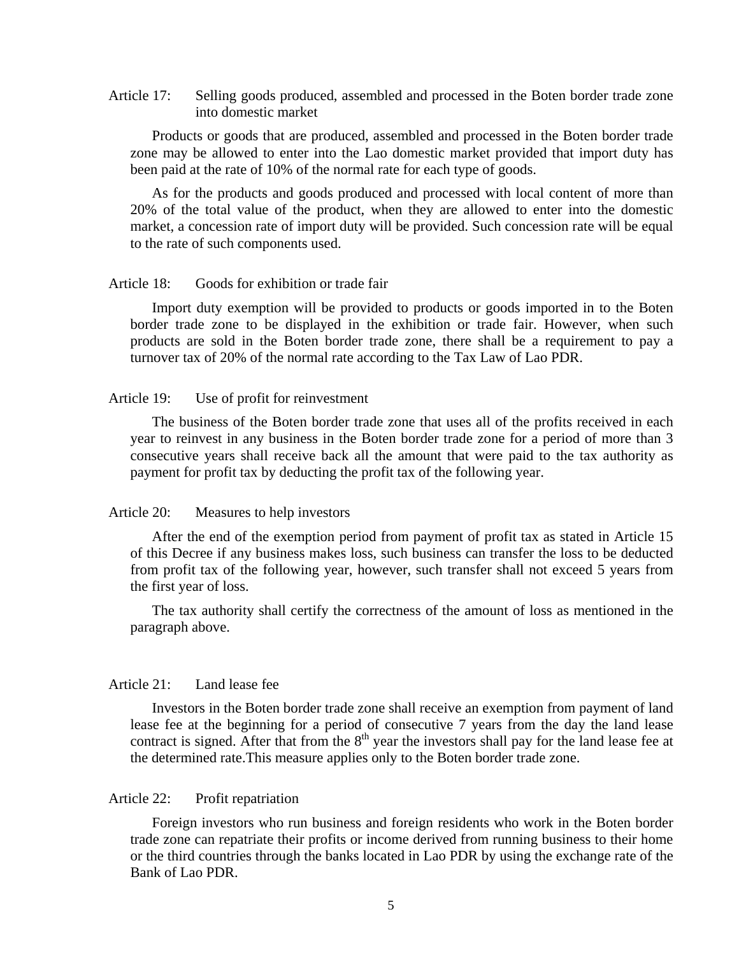Article 17: Selling goods produced, assembled and processed in the Boten border trade zone into domestic market

 Products or goods that are produced, assembled and processed in the Boten border trade zone may be allowed to enter into the Lao domestic market provided that import duty has been paid at the rate of 10% of the normal rate for each type of goods.

 As for the products and goods produced and processed with local content of more than 20% of the total value of the product, when they are allowed to enter into the domestic market, a concession rate of import duty will be provided. Such concession rate will be equal to the rate of such components used.

#### Article 18: Goods for exhibition or trade fair

 Import duty exemption will be provided to products or goods imported in to the Boten border trade zone to be displayed in the exhibition or trade fair. However, when such products are sold in the Boten border trade zone, there shall be a requirement to pay a turnover tax of 20% of the normal rate according to the Tax Law of Lao PDR.

# Article 19: Use of profit for reinvestment

 The business of the Boten border trade zone that uses all of the profits received in each year to reinvest in any business in the Boten border trade zone for a period of more than 3 consecutive years shall receive back all the amount that were paid to the tax authority as payment for profit tax by deducting the profit tax of the following year.

### Article 20: Measures to help investors

 After the end of the exemption period from payment of profit tax as stated in Article 15 of this Decree if any business makes loss, such business can transfer the loss to be deducted from profit tax of the following year, however, such transfer shall not exceed 5 years from the first year of loss.

 The tax authority shall certify the correctness of the amount of loss as mentioned in the paragraph above.

# Article 21: Land lease fee

 Investors in the Boten border trade zone shall receive an exemption from payment of land lease fee at the beginning for a period of consecutive 7 years from the day the land lease contract is signed. After that from the  $8<sup>th</sup>$  year the investors shall pay for the land lease fee at the determined rate.This measure applies only to the Boten border trade zone.

#### Article 22: Profit repatriation

 Foreign investors who run business and foreign residents who work in the Boten border trade zone can repatriate their profits or income derived from running business to their home or the third countries through the banks located in Lao PDR by using the exchange rate of the Bank of Lao PDR.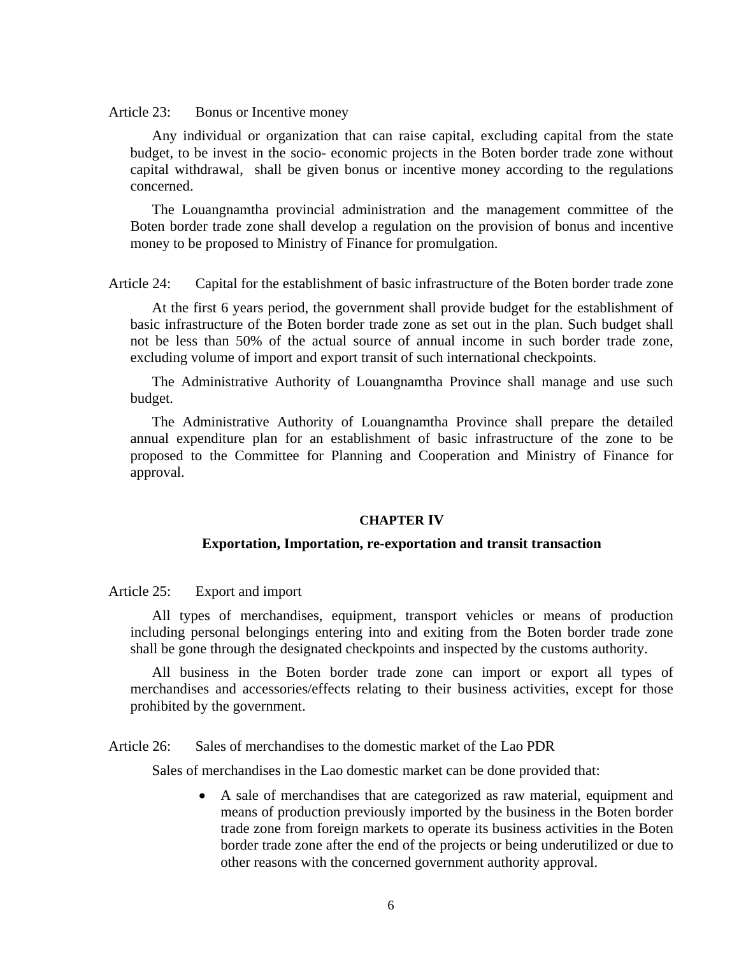Article 23: Bonus or Incentive money

 Any individual or organization that can raise capital, excluding capital from the state budget, to be invest in the socio- economic projects in the Boten border trade zone without capital withdrawal, shall be given bonus or incentive money according to the regulations concerned.

 The Louangnamtha provincial administration and the management committee of the Boten border trade zone shall develop a regulation on the provision of bonus and incentive money to be proposed to Ministry of Finance for promulgation.

Article 24: Capital for the establishment of basic infrastructure of the Boten border trade zone

 At the first 6 years period, the government shall provide budget for the establishment of basic infrastructure of the Boten border trade zone as set out in the plan. Such budget shall not be less than 50% of the actual source of annual income in such border trade zone, excluding volume of import and export transit of such international checkpoints.

 The Administrative Authority of Louangnamtha Province shall manage and use such budget.

 The Administrative Authority of Louangnamtha Province shall prepare the detailed annual expenditure plan for an establishment of basic infrastructure of the zone to be proposed to the Committee for Planning and Cooperation and Ministry of Finance for approval.

#### **CHAPTER IV**

#### **Exportation, Importation, re-exportation and transit transaction**

Article 25: Export and import

 All types of merchandises, equipment, transport vehicles or means of production including personal belongings entering into and exiting from the Boten border trade zone shall be gone through the designated checkpoints and inspected by the customs authority.

 All business in the Boten border trade zone can import or export all types of merchandises and accessories/effects relating to their business activities, except for those prohibited by the government.

Article 26: Sales of merchandises to the domestic market of the Lao PDR

Sales of merchandises in the Lao domestic market can be done provided that:

• A sale of merchandises that are categorized as raw material, equipment and means of production previously imported by the business in the Boten border trade zone from foreign markets to operate its business activities in the Boten border trade zone after the end of the projects or being underutilized or due to other reasons with the concerned government authority approval.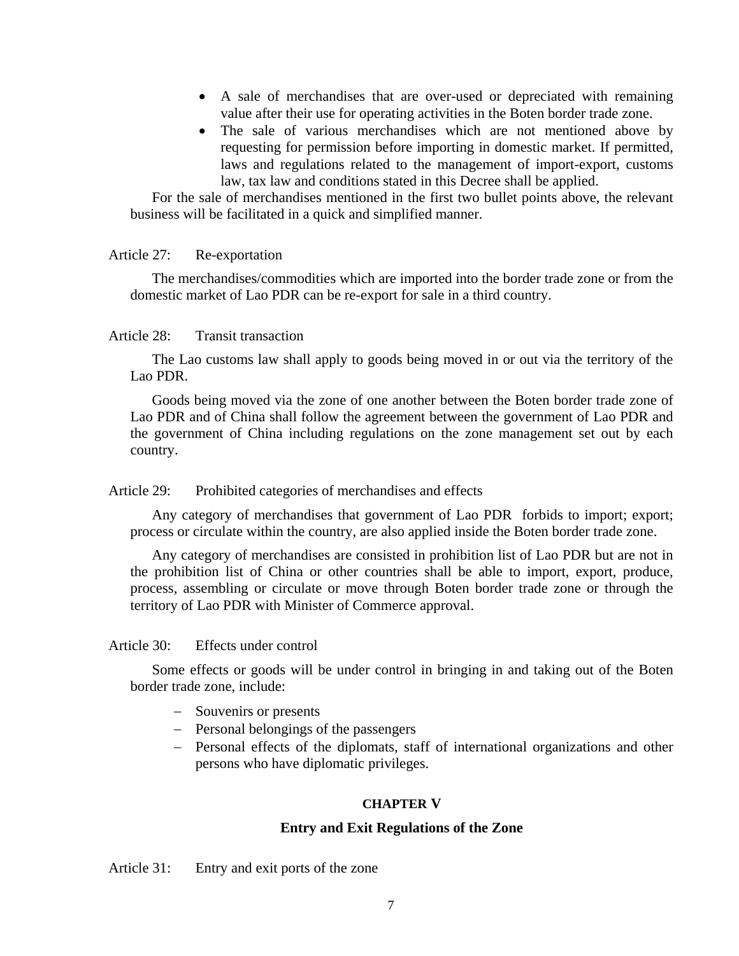- A sale of merchandises that are over-used or depreciated with remaining value after their use for operating activities in the Boten border trade zone.
- The sale of various merchandises which are not mentioned above by requesting for permission before importing in domestic market. If permitted, laws and regulations related to the management of import-export, customs law, tax law and conditions stated in this Decree shall be applied.

 For the sale of merchandises mentioned in the first two bullet points above, the relevant business will be facilitated in a quick and simplified manner.

# Article 27: Re-exportation

 The merchandises/commodities which are imported into the border trade zone or from the domestic market of Lao PDR can be re-export for sale in a third country.

# Article 28: Transit transaction

 The Lao customs law shall apply to goods being moved in or out via the territory of the Lao PDR.

 Goods being moved via the zone of one another between the Boten border trade zone of Lao PDR and of China shall follow the agreement between the government of Lao PDR and the government of China including regulations on the zone management set out by each country.

#### Article 29: Prohibited categories of merchandises and effects

 Any category of merchandises that government of Lao PDR forbids to import; export; process or circulate within the country, are also applied inside the Boten border trade zone.

 Any category of merchandises are consisted in prohibition list of Lao PDR but are not in the prohibition list of China or other countries shall be able to import, export, produce, process, assembling or circulate or move through Boten border trade zone or through the territory of Lao PDR with Minister of Commerce approval.

# Article 30: Effects under control

 Some effects or goods will be under control in bringing in and taking out of the Boten border trade zone, include:

- − Souvenirs or presents
- − Personal belongings of the passengers
- − Personal effects of the diplomats, staff of international organizations and other persons who have diplomatic privileges.

#### **CHAPTER V**

#### **Entry and Exit Regulations of the Zone**

#### Article 31: Entry and exit ports of the zone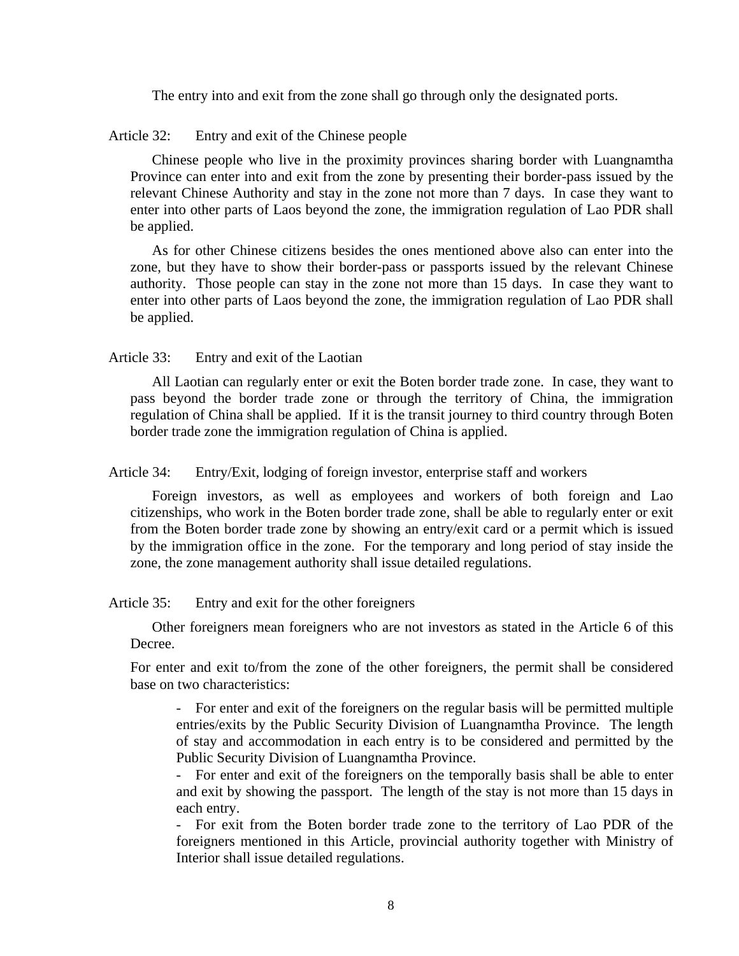The entry into and exit from the zone shall go through only the designated ports.

Article 32: Entry and exit of the Chinese people

 Chinese people who live in the proximity provinces sharing border with Luangnamtha Province can enter into and exit from the zone by presenting their border-pass issued by the relevant Chinese Authority and stay in the zone not more than 7 days. In case they want to enter into other parts of Laos beyond the zone, the immigration regulation of Lao PDR shall be applied.

 As for other Chinese citizens besides the ones mentioned above also can enter into the zone, but they have to show their border-pass or passports issued by the relevant Chinese authority. Those people can stay in the zone not more than 15 days. In case they want to enter into other parts of Laos beyond the zone, the immigration regulation of Lao PDR shall be applied.

Article 33: Entry and exit of the Laotian

 All Laotian can regularly enter or exit the Boten border trade zone. In case, they want to pass beyond the border trade zone or through the territory of China, the immigration regulation of China shall be applied. If it is the transit journey to third country through Boten border trade zone the immigration regulation of China is applied.

Article 34: Entry/Exit, lodging of foreign investor, enterprise staff and workers

 Foreign investors, as well as employees and workers of both foreign and Lao citizenships, who work in the Boten border trade zone, shall be able to regularly enter or exit from the Boten border trade zone by showing an entry/exit card or a permit which is issued by the immigration office in the zone. For the temporary and long period of stay inside the zone, the zone management authority shall issue detailed regulations.

Article 35: Entry and exit for the other foreigners

 Other foreigners mean foreigners who are not investors as stated in the Article 6 of this Decree.

For enter and exit to/from the zone of the other foreigners, the permit shall be considered base on two characteristics:

- For enter and exit of the foreigners on the regular basis will be permitted multiple entries/exits by the Public Security Division of Luangnamtha Province. The length of stay and accommodation in each entry is to be considered and permitted by the Public Security Division of Luangnamtha Province.

- For enter and exit of the foreigners on the temporally basis shall be able to enter and exit by showing the passport. The length of the stay is not more than 15 days in each entry.

- For exit from the Boten border trade zone to the territory of Lao PDR of the foreigners mentioned in this Article, provincial authority together with Ministry of Interior shall issue detailed regulations.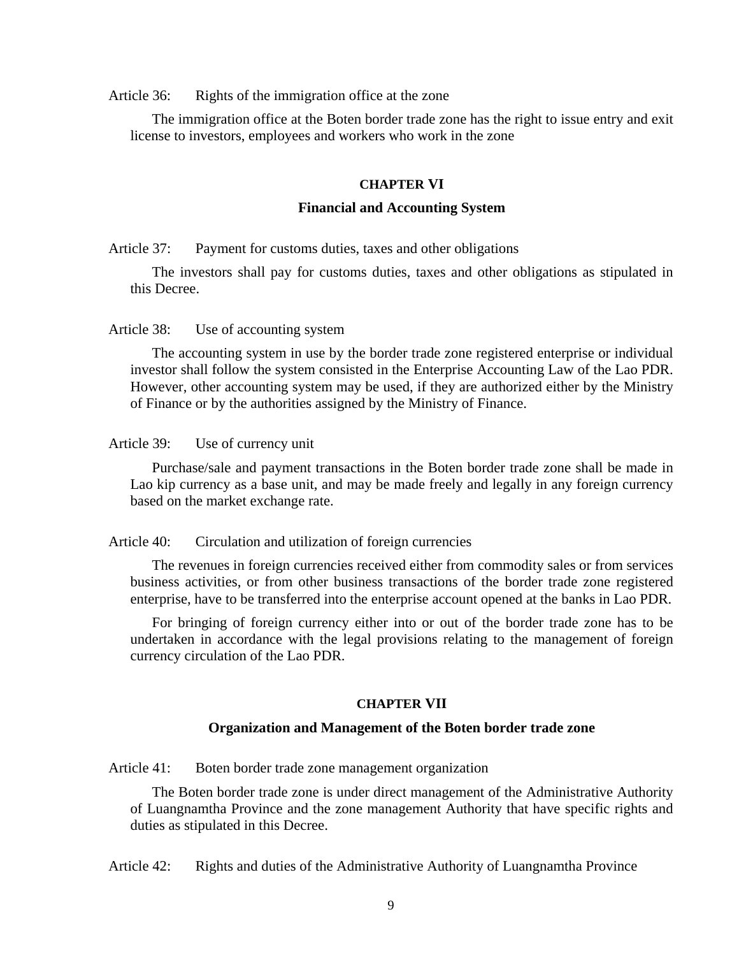Article 36: Rights of the immigration office at the zone

 The immigration office at the Boten border trade zone has the right to issue entry and exit license to investors, employees and workers who work in the zone

# **CHAPTER VI**

# **Financial and Accounting System**

Article 37: Payment for customs duties, taxes and other obligations

 The investors shall pay for customs duties, taxes and other obligations as stipulated in this Decree.

Article 38: Use of accounting system

 The accounting system in use by the border trade zone registered enterprise or individual investor shall follow the system consisted in the Enterprise Accounting Law of the Lao PDR. However, other accounting system may be used, if they are authorized either by the Ministry of Finance or by the authorities assigned by the Ministry of Finance.

Article 39: Use of currency unit

 Purchase/sale and payment transactions in the Boten border trade zone shall be made in Lao kip currency as a base unit, and may be made freely and legally in any foreign currency based on the market exchange rate.

Article 40: Circulation and utilization of foreign currencies

 The revenues in foreign currencies received either from commodity sales or from services business activities, or from other business transactions of the border trade zone registered enterprise, have to be transferred into the enterprise account opened at the banks in Lao PDR.

 For bringing of foreign currency either into or out of the border trade zone has to be undertaken in accordance with the legal provisions relating to the management of foreign currency circulation of the Lao PDR.

# **CHAPTER VII**

#### **Organization and Management of the Boten border trade zone**

Article 41: Boten border trade zone management organization

 The Boten border trade zone is under direct management of the Administrative Authority of Luangnamtha Province and the zone management Authority that have specific rights and duties as stipulated in this Decree.

Article 42: Rights and duties of the Administrative Authority of Luangnamtha Province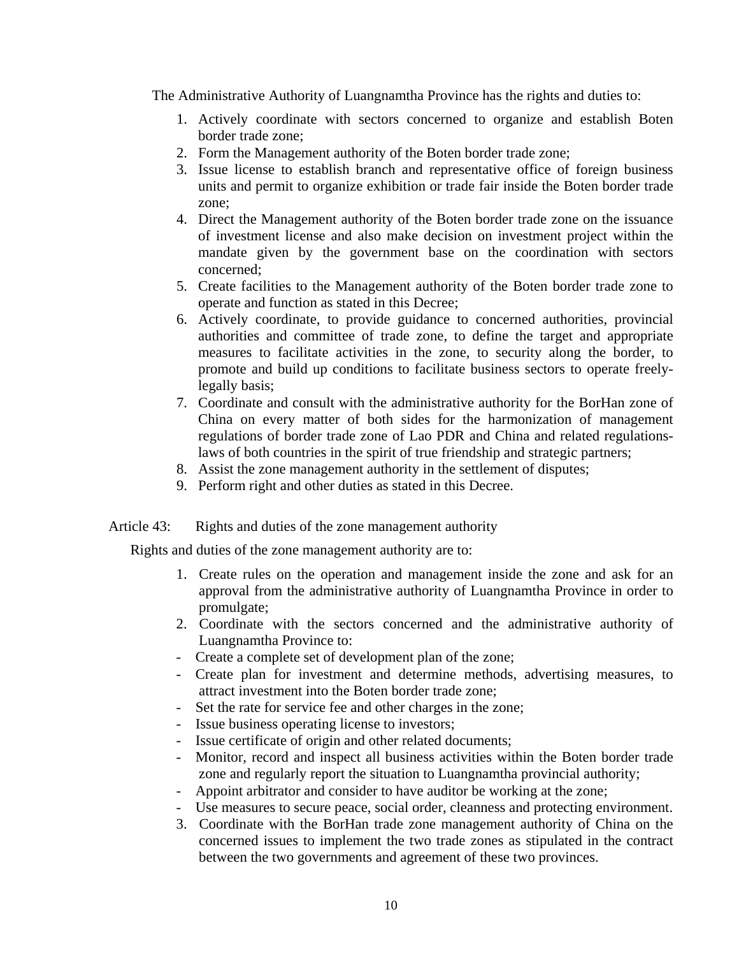The Administrative Authority of Luangnamtha Province has the rights and duties to:

- 1. Actively coordinate with sectors concerned to organize and establish Boten border trade zone;
- 2. Form the Management authority of the Boten border trade zone;
- 3. Issue license to establish branch and representative office of foreign business units and permit to organize exhibition or trade fair inside the Boten border trade zone;
- 4. Direct the Management authority of the Boten border trade zone on the issuance of investment license and also make decision on investment project within the mandate given by the government base on the coordination with sectors concerned;
- 5. Create facilities to the Management authority of the Boten border trade zone to operate and function as stated in this Decree;
- 6. Actively coordinate, to provide guidance to concerned authorities, provincial authorities and committee of trade zone, to define the target and appropriate measures to facilitate activities in the zone, to security along the border, to promote and build up conditions to facilitate business sectors to operate freelylegally basis;
- 7. Coordinate and consult with the administrative authority for the BorHan zone of China on every matter of both sides for the harmonization of management regulations of border trade zone of Lao PDR and China and related regulationslaws of both countries in the spirit of true friendship and strategic partners;
- 8. Assist the zone management authority in the settlement of disputes;
- 9. Perform right and other duties as stated in this Decree.

# Article 43: Rights and duties of the zone management authority

Rights and duties of the zone management authority are to:

- 1. Create rules on the operation and management inside the zone and ask for an approval from the administrative authority of Luangnamtha Province in order to promulgate;
- 2. Coordinate with the sectors concerned and the administrative authority of Luangnamtha Province to:
- Create a complete set of development plan of the zone;
- Create plan for investment and determine methods, advertising measures, to attract investment into the Boten border trade zone;
- Set the rate for service fee and other charges in the zone;
- Issue business operating license to investors;
- Issue certificate of origin and other related documents;
- Monitor, record and inspect all business activities within the Boten border trade zone and regularly report the situation to Luangnamtha provincial authority;
- Appoint arbitrator and consider to have auditor be working at the zone;
- Use measures to secure peace, social order, cleanness and protecting environment.
- 3. Coordinate with the BorHan trade zone management authority of China on the concerned issues to implement the two trade zones as stipulated in the contract between the two governments and agreement of these two provinces.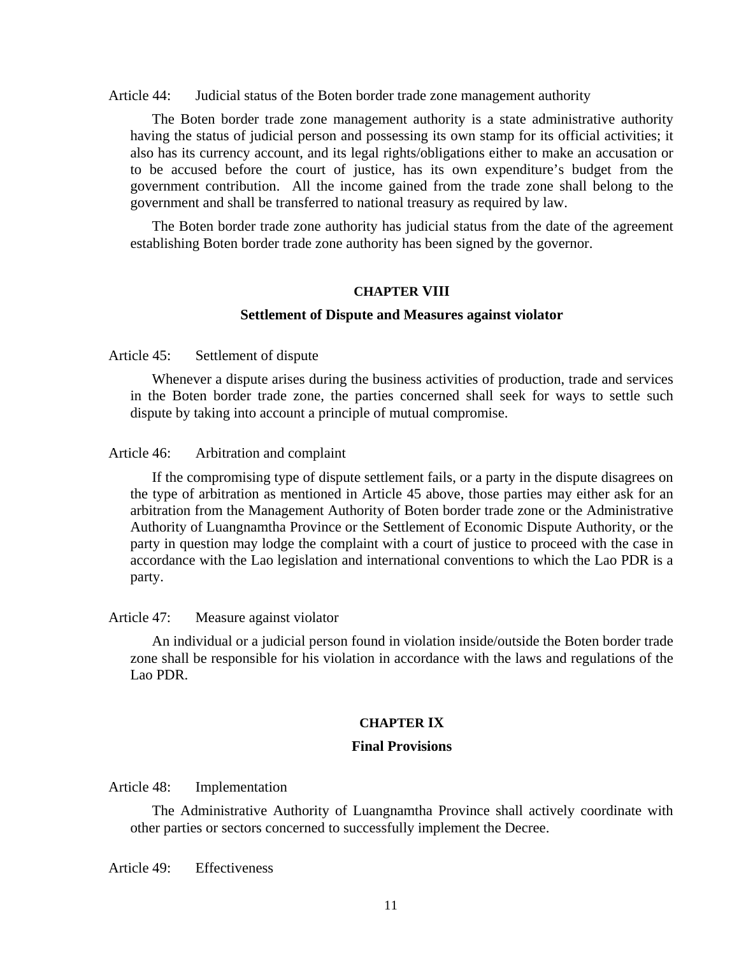Article 44: Judicial status of the Boten border trade zone management authority

 The Boten border trade zone management authority is a state administrative authority having the status of judicial person and possessing its own stamp for its official activities; it also has its currency account, and its legal rights/obligations either to make an accusation or to be accused before the court of justice, has its own expenditure's budget from the government contribution. All the income gained from the trade zone shall belong to the government and shall be transferred to national treasury as required by law.

 The Boten border trade zone authority has judicial status from the date of the agreement establishing Boten border trade zone authority has been signed by the governor.

# **CHAPTER VIII**

# **Settlement of Dispute and Measures against violator**

Article 45: Settlement of dispute

 Whenever a dispute arises during the business activities of production, trade and services in the Boten border trade zone, the parties concerned shall seek for ways to settle such dispute by taking into account a principle of mutual compromise.

# Article 46: Arbitration and complaint

 If the compromising type of dispute settlement fails, or a party in the dispute disagrees on the type of arbitration as mentioned in Article 45 above, those parties may either ask for an arbitration from the Management Authority of Boten border trade zone or the Administrative Authority of Luangnamtha Province or the Settlement of Economic Dispute Authority, or the party in question may lodge the complaint with a court of justice to proceed with the case in accordance with the Lao legislation and international conventions to which the Lao PDR is a party.

#### Article 47: Measure against violator

 An individual or a judicial person found in violation inside/outside the Boten border trade zone shall be responsible for his violation in accordance with the laws and regulations of the Lao PDR.

#### **CHAPTER IX**

#### **Final Provisions**

Article 48: Implementation

 The Administrative Authority of Luangnamtha Province shall actively coordinate with other parties or sectors concerned to successfully implement the Decree.

Article 49: Effectiveness